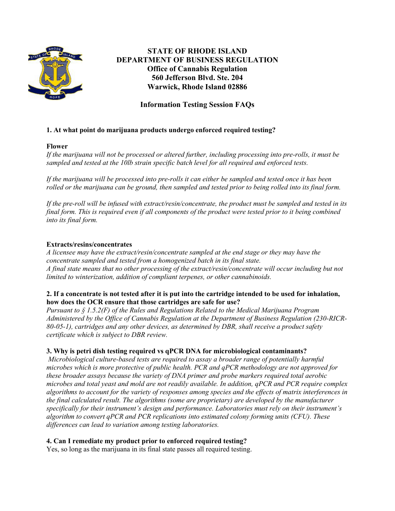

# **STATE OF RHODE ISLAND DEPARTMENT OF BUSINESS REGULATION Office of Cannabis Regulation 560 Jefferson Blvd. Ste. 204 Warwick, Rhode Island 02886**

# **Information Testing Session FAQs**

## **1. At what point do marijuana products undergo enforced required testing?**

#### **Flower**

*If the marijuana will not be processed or altered further, including processing into pre-rolls, it must be sampled and tested at the 10lb strain specific batch level for all required and enforced tests.* 

*If the marijuana will be processed into pre-rolls it can either be sampled and tested once it has been rolled or the marijuana can be ground, then sampled and tested prior to being rolled into its final form.*

*If the pre-roll will be infused with extract/resin/concentrate, the product must be sampled and tested in its final form. This is required even if all components of the product were tested prior to it being combined into its final form.*

#### **Extracts/resins/concentrates**

*A licensee may have the extract/resin/concentrate sampled at the end stage or they may have the concentrate sampled and tested from a homogenized batch in its final state. A final state means that no other processing of the extract/resin/concentrate will occur including but not limited to winterization, addition of compliant terpenes, or other cannabinoids.* 

#### **2. If a concentrate is not tested after it is put into the cartridge intended to be used for inhalation, how does the OCR ensure that those cartridges are safe for use?**

*Pursuant to § 1.5.2(F) of the Rules and Regulations Related to the Medical Marijuana Program Administered by the Office of Cannabis Regulation at the Department of Business Regulation (230-RICR-80-05-1), cartridges and any other devices, as determined by DBR, shall receive a product safety certificate which is subject to DBR review.*

## **3. Why is petri dish testing required vs qPCR DNA for microbiological contaminants?**

*Microbiological culture-based tests are required to assay a broader range of potentially harmful microbes which is more protective of public health. PCR and qPCR methodology are not approved for these broader assays because the variety of DNA primer and probe markers required total aerobic microbes and total yeast and mold are not readily available. In addition, qPCR and PCR require complex algorithms to account for the variety of responses among species and the effects of matrix interferences in the final calculated result. The algorithms (some are proprietary) are developed by the manufacturer specifically for their instrument's design and performance. Laboratories must rely on their instrument's algorithm to convert qPCR and PCR replications into estimated colony forming units (CFU). These differences can lead to variation among testing laboratories.*

## **4. Can I remediate my product prior to enforced required testing?**

Yes, so long as the marijuana in its final state passes all required testing.